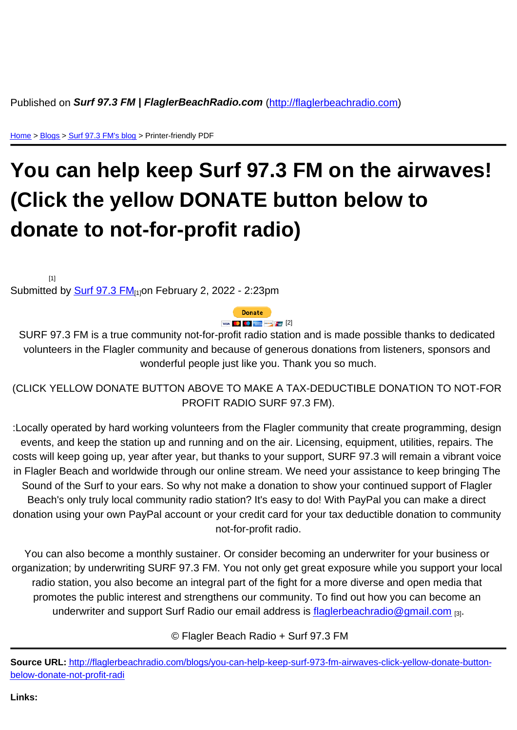Home > Blogs > Surf 97.3 FM's blog > Printer-friendly PDF

## [Yo](http://flaglerbeachradio.com/)[u c](http://flaglerbeachradio.com/blog)[an help](http://flaglerbeachradio.com/blogs/surf-973-fm) keep Surf 97.3 FM on the airwaves! (Click the yellow DONATE button below to donate to not-for-profit radio)

 $[1]$ 

Submitted by  $\frac{\text{Surf } 97.3 \text{ FM}_{10} }{\text{M}_{10}}$ on February 2, 2022 - 2:23pm

[2]

SURF 97.3 [FM is a true c](http://flaglerbeachradio.com/surfin-dudes/surf-973-fm)ommunity not-for-profit radio station and is made possible thanks to dedicated [volunteers](https://www.paypal.com/cgi-bin/webscr?cmd=_s-xclick&hosted_button_id=YEVSJTEW2DL5N) in the Flagler community and because of generous donations from listeners, sponsors and wonderful people just like you. Thank you so much.

(CLICK YELLOW DONATE BUTTON ABOVE TO MAKE A TAX-DEDUCTIBLE DONATION TO NOT-FOR PROFIT RADIO SURF 97.3 FM).

:Locally operated by hard working volunteers from the Flagler community that create programming, design events, and keep the station up and running and on the air. Licensing, equipment, utilities, repairs. The costs will keep going up, year after year, but thanks to your support, SURF 97.3 will remain a vibrant voice in Flagler Beach and worldwide through our online stream. We need your assistance to keep bringing The Sound of the Surf to your ears. So why not make a donation to show your continued support of Flagler Beach's only truly local community radio station? It's easy to do! With PayPal you can make a direct donation using your own PayPal account or your credit card for your tax deductible donation to community not-for-profit radio.

You can also become a monthly sustainer. Or consider becoming an underwriter for your business or organization; by underwriting SURF 97.3 FM. You not only get great exposure while you support your local radio station, you also become an integral part of the fight for a more diverse and open media that promotes the public interest and strengthens our community. To find out how you can become an underwriter and support Surf Radio our email address is flaglerbeachradio@gmail.com [3].

© Flagler Beach Radio + Surf 97.3 FM

Source URL: http://flaglerbeachradio.com/blogs/you-can-help-keep-surf-973-fm-airwaves-click-yellow-donate-buttonbelow-donate-not-profit-radi